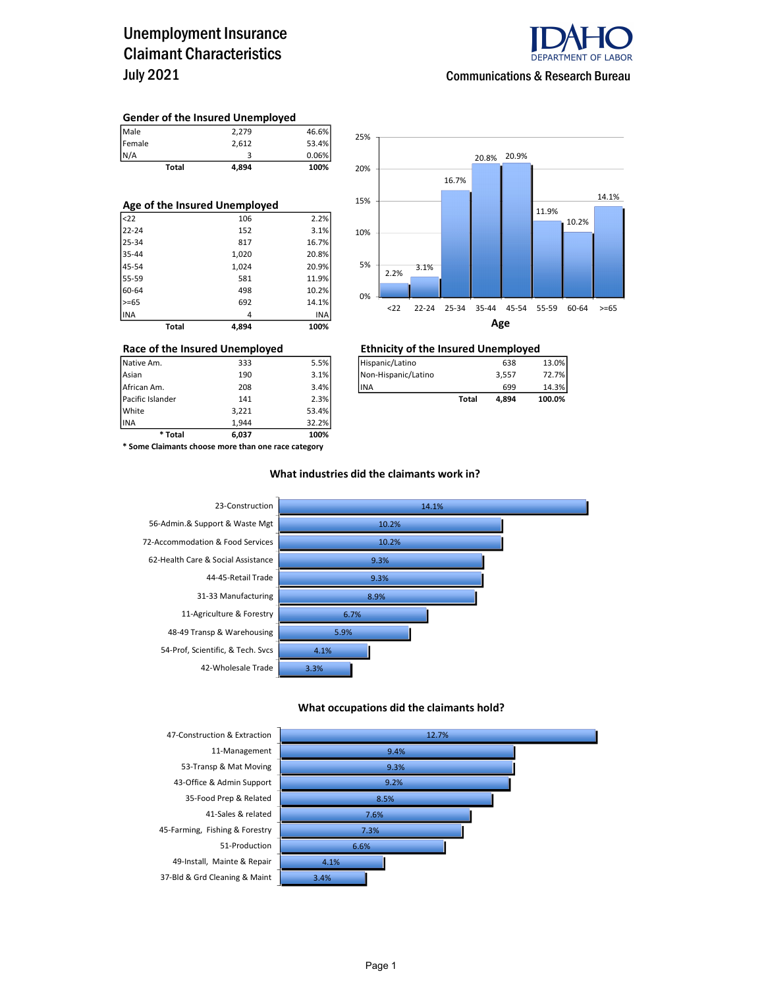### Unemployment Insurance Claimant Characteristics July 2021



Communications & Research Bureau

#### Gender of the Insured Unemployed

| <b>Total</b> | 4,894 | 100%  |
|--------------|-------|-------|
| N/A          |       | 0.06% |
| Female       | 2.612 | 53.4% |
| Male         | 2,279 | 46.6% |

| Age of the Insured Unemployed |       |       |  |  |  |  |  |
|-------------------------------|-------|-------|--|--|--|--|--|
| $ $ <22                       | 106   | 2.2%  |  |  |  |  |  |
| 22-24                         | 152   | 3.1%  |  |  |  |  |  |
| 25-34                         | 817   | 16.7% |  |  |  |  |  |
| 35-44                         | 1,020 | 20.8% |  |  |  |  |  |
| 45-54                         | 1,024 | 20.9% |  |  |  |  |  |
| 55-59                         | 581   | 11.9% |  |  |  |  |  |
| 60-64                         | 498   | 10.2% |  |  |  |  |  |
| $>= 65$                       | 692   | 14.1% |  |  |  |  |  |
| INA                           | 4     | INA   |  |  |  |  |  |
| <b>Total</b>                  | 4.894 | 100%  |  |  |  |  |  |



## Race of the Insured Unemployed<br>
Native Am. 333 5.5% THispanic/Latino 638 638

| Pacific Islander | 141 | 2.3% |                      | Total | 4.894 | 100.0% |
|------------------|-----|------|----------------------|-------|-------|--------|
| African Am.      | 208 | 3.4% | <b>IINA</b>          |       | 699   | 14.3%  |
| Asian            | 190 | 3.1% | INon-Hispanic/Latino |       | 3.557 | 72.7%1 |
| Native Am.       | 333 | 5.5% | Hispanic/Latino      |       | 638   | 13.0%  |

INA 1,944 32.2% \* Some Claimants choose more than one race category

\* Total 6,037 100%

Pacific Islander 141 2.3% White 3,221 53.4%<br>1.944 32.2% 3,221 53.4%

#### What industries did the claimants work in?



#### What occupations did the claimants hold?

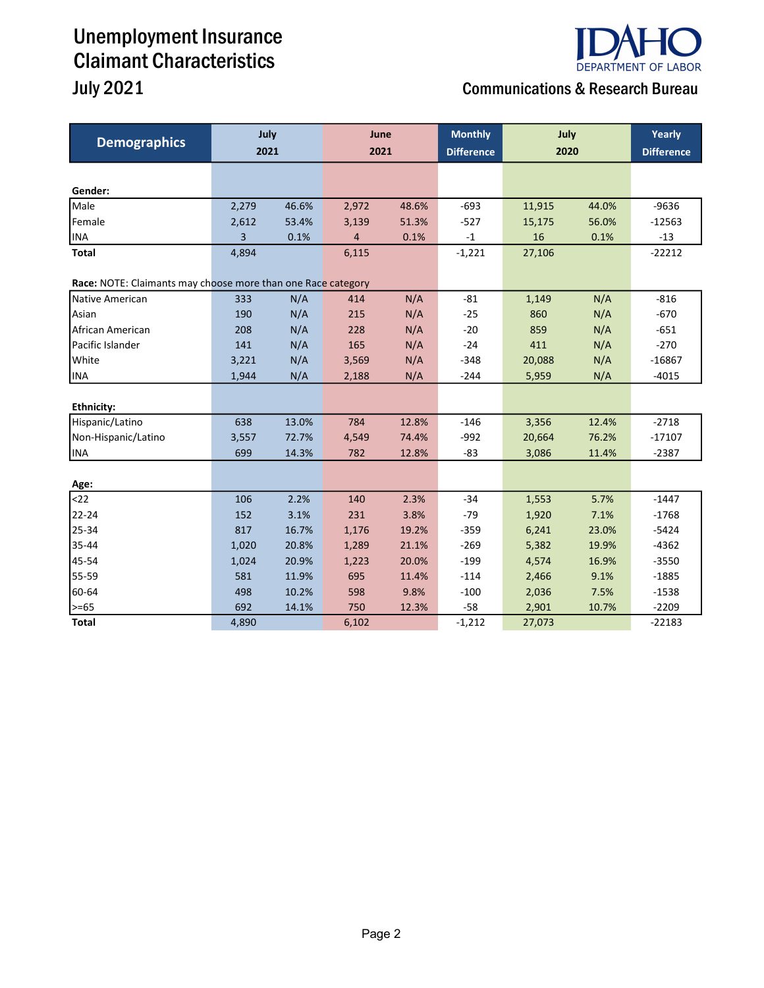# Unemployment Insurance Claimant Characteristics

# **DEPARTMENT OF LABOR**

## July 2021 Communications & Research Bureau

| <b>Demographics</b>                                          | July<br>2021 |       | June<br>2021 |       | <b>Monthly</b><br><b>Difference</b> | July<br>2020 |       | Yearly<br><b>Difference</b> |
|--------------------------------------------------------------|--------------|-------|--------------|-------|-------------------------------------|--------------|-------|-----------------------------|
|                                                              |              |       |              |       |                                     |              |       |                             |
| Gender:                                                      |              |       |              |       |                                     |              |       |                             |
| Male                                                         | 2,279        | 46.6% | 2,972        | 48.6% | $-693$                              | 11,915       | 44.0% | $-9636$                     |
| Female                                                       | 2,612        | 53.4% | 3,139        | 51.3% | $-527$                              | 15,175       | 56.0% | $-12563$                    |
| <b>INA</b>                                                   | 3            | 0.1%  | 4            | 0.1%  | $-1$                                | 16           | 0.1%  | $-13$                       |
| <b>Total</b>                                                 | 4,894        |       | 6,115        |       | $-1,221$                            | 27,106       |       | $-22212$                    |
| Race: NOTE: Claimants may choose more than one Race category |              |       |              |       |                                     |              |       |                             |
| Native American                                              | 333          | N/A   | 414          | N/A   | $-81$                               | 1,149        | N/A   | $-816$                      |
| Asian                                                        | 190          | N/A   | 215          | N/A   | $-25$                               | 860          | N/A   | $-670$                      |
| African American                                             | 208          | N/A   | 228          | N/A   | $-20$                               | 859          | N/A   | $-651$                      |
| Pacific Islander                                             | 141          | N/A   | 165          | N/A   | $-24$                               | 411          | N/A   | $-270$                      |
| White                                                        | 3,221        | N/A   | 3,569        | N/A   | $-348$                              | 20,088       | N/A   | $-16867$                    |
| <b>INA</b>                                                   | 1,944        | N/A   | 2,188        | N/A   | $-244$                              | 5,959        | N/A   | $-4015$                     |
|                                                              |              |       |              |       |                                     |              |       |                             |
| <b>Ethnicity:</b>                                            |              |       |              |       |                                     |              |       |                             |
| Hispanic/Latino                                              | 638          | 13.0% | 784          | 12.8% | $-146$                              | 3,356        | 12.4% | $-2718$                     |
| Non-Hispanic/Latino                                          | 3,557        | 72.7% | 4,549        | 74.4% | $-992$                              | 20,664       | 76.2% | $-17107$                    |
| <b>INA</b>                                                   | 699          | 14.3% | 782          | 12.8% | $-83$                               | 3,086        | 11.4% | $-2387$                     |
| Age:                                                         |              |       |              |       |                                     |              |       |                             |
| $22$                                                         | 106          | 2.2%  | 140          | 2.3%  | $-34$                               | 1,553        | 5.7%  | $-1447$                     |
| 22-24                                                        | 152          | 3.1%  | 231          | 3.8%  | $-79$                               | 1,920        | 7.1%  | $-1768$                     |
| 25-34                                                        | 817          | 16.7% | 1,176        | 19.2% | $-359$                              | 6,241        | 23.0% | $-5424$                     |
| 35-44                                                        | 1,020        | 20.8% | 1,289        | 21.1% | $-269$                              | 5,382        | 19.9% | $-4362$                     |
| 45-54                                                        | 1,024        | 20.9% | 1,223        | 20.0% | $-199$                              | 4,574        | 16.9% | $-3550$                     |
| 55-59                                                        | 581          | 11.9% | 695          | 11.4% | $-114$                              | 2,466        | 9.1%  | $-1885$                     |
| 60-64                                                        | 498          | 10.2% | 598          | 9.8%  | $-100$                              | 2,036        | 7.5%  | $-1538$                     |
| >=65                                                         | 692          | 14.1% | 750          | 12.3% | $-58$                               | 2,901        | 10.7% | $-2209$                     |
| <b>Total</b>                                                 | 4,890        |       | 6,102        |       | $-1,212$                            | 27,073       |       | $-22183$                    |